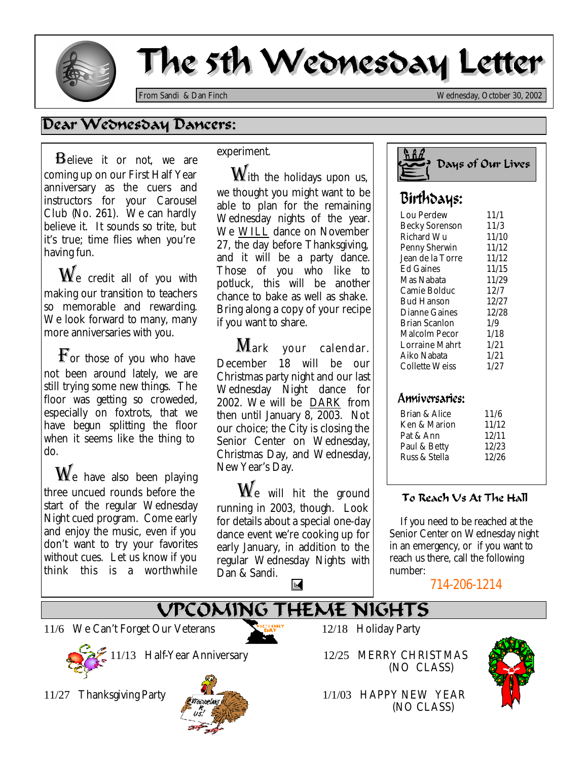

# The 5th Wednesday Letter

*From Sandi & Dan Finch Wednesday, October 30, 2002*

## Dear Wednesday Dancers:

**B**elieve it or not, we are coming up on our First Half Year anniversary as the cuers and instructors for your Carousel Club (No. 261). We can hardly believe it. It sounds so trite, but it's true; time flies when you're having fun.

 $\mathbf{W}_{\mathrm{e}}$  credit all of you with making our transition to teachers so memorable and rewarding. We look forward to many, many more anniversaries with you.

 $\mathbf{F}_{\text{or}}$  those of you who have not been around lately, we are still trying some new things. The floor was getting so croweded, especially on foxtrots, that we have begun splitting the floor when it seems like the thing to do.

 $\mathbf{W}_{\mathrm{e}}$  have also been playing three uncued rounds before the start of the regular Wednesday Night cued program. Come early and enjoy the music, even if you don't want to try your favorites without cues. Let us know if you think this is a worthwhile

### experiment.

 $\mathbf{\mathbf{\mathbf{\mathbb{W}}}}$ ith the holidays upon us, we thought you might want to be able to plan for the remaining Wednesday nights of the year. We WILL dance on November 27, the day before Thanksgiving, and it will be a party dance. Those of you who like to potluck, this will be another chance to bake as well as shake. Bring along a copy of your recipe if you want to share.

Mark your calendar. December 18 will be our Christmas party night and our last Wednesday Night dance for 2002. We will be DARK from then until January 8, 2003. Not our choice; the City is closing the Senior Center on Wednesday, Christmas Day, and Wednesday, New Year's Day.

 $\mathbf{W}_{\text{e}}$  will hit the ground running in 2003, though. Look for details about a special one-day dance event we're cooking up for early January, in addition to the regular Wednesday Nights with Dan & Sandi.  $\mathbb K$ 



## Birthdays:

| Lou Perdew            | 11/1  |
|-----------------------|-------|
| <b>Becky Sorenson</b> | 11/3  |
| Richard Wu            | 11/10 |
| Penny Sherwin         | 11/12 |
| Jean de la Torre      | 11/12 |
| <b>Ed Gaines</b>      | 11/15 |
| Mas Nabata            | 11/29 |
| Camie Bolduc          | 12/7  |
| <b>Bud Hanson</b>     | 12/27 |
| Dianne Gaines         | 12/28 |
| Brian Scanlon         | 1/9   |
| Malcolm Pecor         | 1/18  |
| Lorraine Mahrt        | 1/21  |
| Aiko Nabata           | 1/21  |
| <b>Collette Weiss</b> | 1/27  |
|                       |       |

### Anniversaries<sup>.</sup>

| 11/6  |
|-------|
| 11/12 |
| 12/11 |
| 12/23 |
| 12/26 |
|       |

### To Reach Vs At The Hall

 *If you need to be reached at the Senior Center on Wednesday night in an emergency, or if you want to reach us there, call the following number:* 

714-206-1214

## VPCOMING THEME NIGHTS

11/6 We Can't Forget Our Veterans 12/18 Holiday Party



11/13 Half-Year Anniversary 12/25 MERRY CHRISTMAS



(NO CLASS)



11/27 Thanksgiving Party **1/1/03 HAPPY NEW YEAR** (NO CLASS)